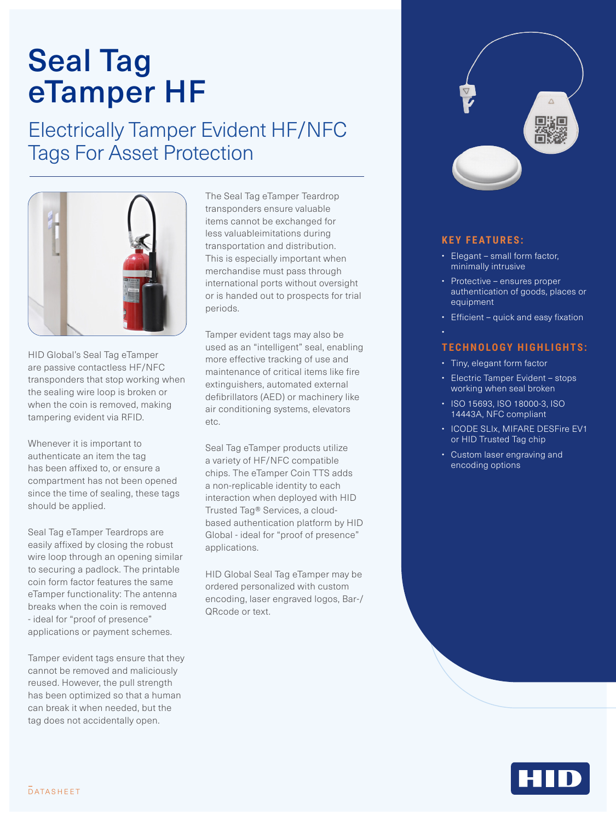# Seal Tag eTamper HF

### Electrically Tamper Evident HF/NFC Tags For Asset Protection



HID Global's Seal Tag eTamper are passive contactless HF/NFC transponders that stop working when the sealing wire loop is broken or when the coin is removed, making tampering evident via RFID.

Whenever it is important to authenticate an item the tag has been affixed to, or ensure a compartment has not been opened since the time of sealing, these tags should be applied.

Seal Tag eTamper Teardrops are easily affixed by closing the robust wire loop through an opening similar to securing a padlock. The printable coin form factor features the same eTamper functionality: The antenna breaks when the coin is removed - ideal for "proof of presence" applications or payment schemes.

Tamper evident tags ensure that they cannot be removed and maliciously reused. However, the pull strength has been optimized so that a human can break it when needed, but the tag does not accidentally open.

The Seal Tag eTamper Teardrop transponders ensure valuable items cannot be exchanged for less valuableimitations during transportation and distribution. This is especially important when merchandise must pass through international ports without oversight or is handed out to prospects for trial periods.

Tamper evident tags may also be used as an "intelligent" seal, enabling more effective tracking of use and maintenance of critical items like fire extinguishers, automated external defibrillators (AED) or machinery like air conditioning systems, elevators etc.

Seal Tag eTamper products utilize a variety of HF/NFC compatible chips. The eTamper Coin TTS adds a non-replicable identity to each interaction when deployed with HID Trusted Tag® Services, a cloudbased authentication platform by HID Global - ideal for "proof of presence" applications.

HID Global Seal Tag eTamper may be ordered personalized with custom encoding, laser engraved logos, Bar-/ QRcode or text.



### **KEY FEATURES:**

- Elegant small form factor, minimally intrusive
- Protective ensures proper authentication of goods, places or equipment
- Efficient quick and easy fixation
- •

### **TECHNOLOGY HIGHLIGHTS:**

- Tiny, elegant form factor
- Electric Tamper Evident stops working when seal broken
- ISO 15693, ISO 18000-3, ISO 14443A, NFC compliant
- ICODE SLIx, MIFARE DESFire EV1 or HID Trusted Tag chip
- Custom laser engraving and encoding options